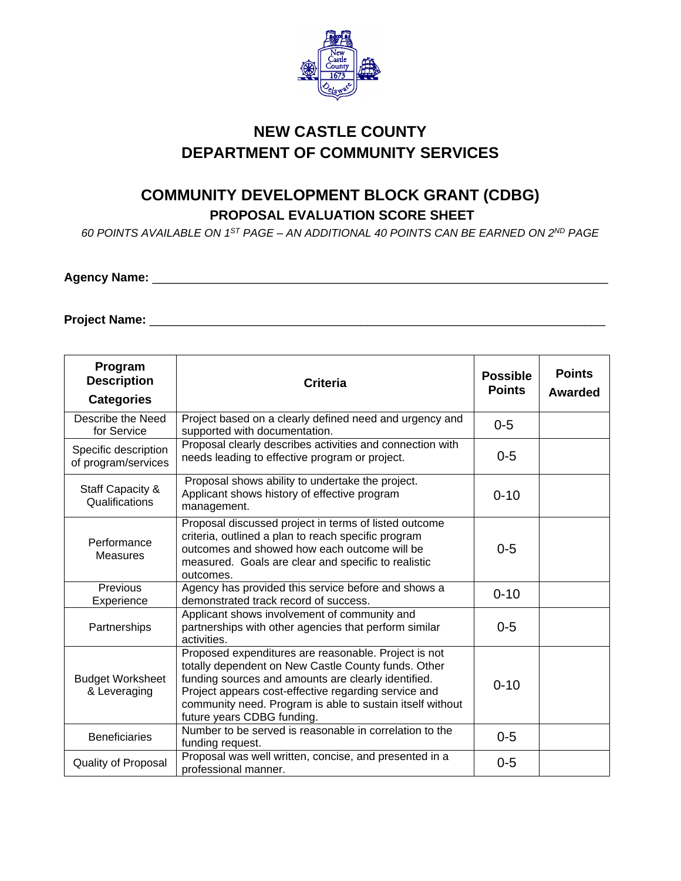

## **NEW CASTLE COUNTY DEPARTMENT OF COMMUNITY SERVICES**

## **COMMUNITY DEVELOPMENT BLOCK GRANT (CDBG) PROPOSAL EVALUATION SCORE SHEET**

*60 POINTS AVAILABLE ON 1ST PAGE – AN ADDITIONAL 40 POINTS CAN BE EARNED ON 2ND PAGE*

## **Agency Name:** \_\_\_\_\_\_\_\_\_\_\_\_\_\_\_\_\_\_\_\_\_\_\_\_\_\_\_\_\_\_\_\_\_\_\_\_\_\_\_\_\_\_\_\_\_\_\_\_\_\_\_\_\_\_\_\_\_\_\_\_\_\_\_\_\_\_\_

**Project Name:** \_\_\_\_\_\_\_\_\_\_\_\_\_\_\_\_\_\_\_\_\_\_\_\_\_\_\_\_\_\_\_\_\_\_\_\_\_\_\_\_\_\_\_\_\_\_\_\_\_\_\_\_\_\_\_\_\_\_\_\_\_\_\_\_\_\_\_

| Program<br><b>Description</b><br><b>Categories</b> | <b>Criteria</b>                                                                                                                                                                                                                                                                                                       | <b>Possible</b><br><b>Points</b> | <b>Points</b><br>Awarded |
|----------------------------------------------------|-----------------------------------------------------------------------------------------------------------------------------------------------------------------------------------------------------------------------------------------------------------------------------------------------------------------------|----------------------------------|--------------------------|
| Describe the Need<br>for Service                   | Project based on a clearly defined need and urgency and<br>supported with documentation.                                                                                                                                                                                                                              | $0 - 5$                          |                          |
| Specific description<br>of program/services        | Proposal clearly describes activities and connection with<br>needs leading to effective program or project.                                                                                                                                                                                                           | $0 - 5$                          |                          |
| Staff Capacity &<br>Qualifications                 | Proposal shows ability to undertake the project.<br>Applicant shows history of effective program<br>management.                                                                                                                                                                                                       | $0 - 10$                         |                          |
| Performance<br><b>Measures</b>                     | Proposal discussed project in terms of listed outcome<br>criteria, outlined a plan to reach specific program<br>outcomes and showed how each outcome will be<br>measured. Goals are clear and specific to realistic<br>outcomes.                                                                                      | $0 - 5$                          |                          |
| Previous<br>Experience                             | Agency has provided this service before and shows a<br>demonstrated track record of success.                                                                                                                                                                                                                          | $0 - 10$                         |                          |
| Partnerships                                       | Applicant shows involvement of community and<br>partnerships with other agencies that perform similar<br>activities.                                                                                                                                                                                                  | $0 - 5$                          |                          |
| <b>Budget Worksheet</b><br>& Leveraging            | Proposed expenditures are reasonable. Project is not<br>totally dependent on New Castle County funds. Other<br>funding sources and amounts are clearly identified.<br>Project appears cost-effective regarding service and<br>community need. Program is able to sustain itself without<br>future years CDBG funding. | $0 - 10$                         |                          |
| <b>Beneficiaries</b>                               | Number to be served is reasonable in correlation to the<br>funding request.                                                                                                                                                                                                                                           | $0 - 5$                          |                          |
| Quality of Proposal                                | Proposal was well written, concise, and presented in a<br>professional manner.                                                                                                                                                                                                                                        | $0 - 5$                          |                          |